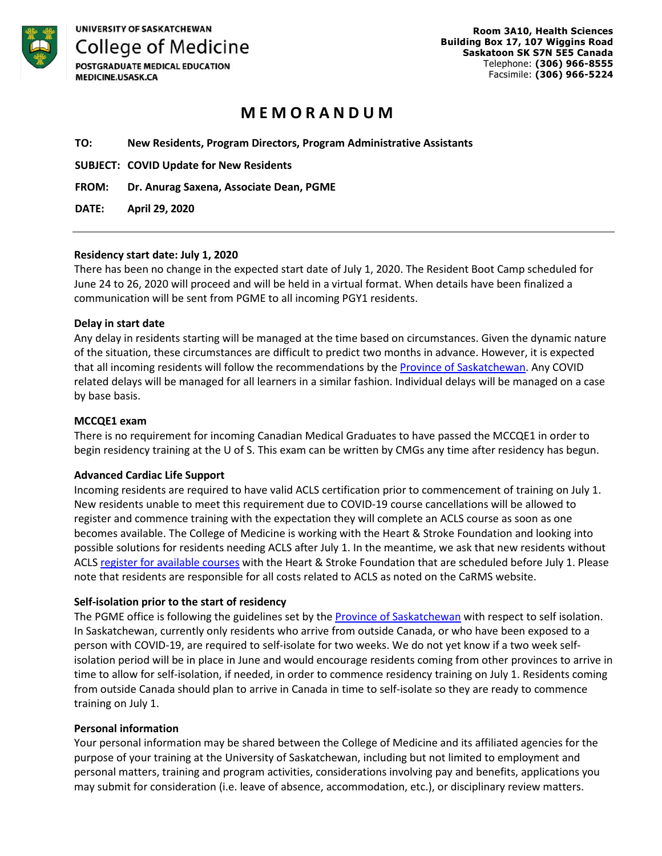

POSTGRADUATE MEDICAL EDUCATION **MEDICINE.USASK.CA** 

# **M E M O R A N D U M**

**TO: New Residents, Program Directors, Program Administrative Assistants** 

**SUBJECT: COVID Update for New Residents** 

**FROM: Dr. Anurag Saxena, Associate Dean, PGME** 

**DATE: April 29, 2020** 

# **Residency start date: July 1, 2020**

There has been no change in the expected start date of July 1, 2020. The Resident Boot Camp scheduled for June 24 to 26, 2020 will proceed and will be held in a virtual format. When details have been finalized a communication will be sent from PGME to all incoming PGY1 residents.

#### **Delay in start date**

Any delay in residents starting will be managed at the time based on circumstances. Given the dynamic nature of the situation, these circumstances are difficult to predict two months in advance. However, it is expected that all incoming residents will follow the recommendations by the **Province of Saskatchewan**. Any COVID related delays will be managed for all learners in a similar fashion. Individual delays will be managed on a case by base basis.

#### **MCCQE1 exam**

There is no requirement for incoming Canadian Medical Graduates to have passed the MCCQE1 in order to begin residency training at the U of S. This exam can be written by CMGs any time after residency has begun.

# **Advanced Cardiac Life Support**

Incoming residents are required to have valid ACLS certification prior to commencement of training on July 1. New residents unable to meet this requirement due to COVID-19 course cancellations will be allowed to register and commence training with the expectation they will complete an ACLS course as soon as one becomes available. The College of Medicine is working with the Heart & Stroke Foundation and looking into possible solutions for residents needing ACLS after July 1. In the meantime, we ask that new residents without ACLS [register for available courses](https://cpr.heartandstroke.ca/s/courses?filters=%5B%7B%22f%22:%22codeFilter%22,%22v%22:%22%22%7D,%7B%22f%22:%22instructorFilter%22%7D,%7B%22f%22:%22rosterContact%22,%22v%22:false%7D,%7B%22f%22:%22portalUserOwner%22,%22v%22:false%7D,%7B%22f%22:%22courseContact%22,%22v%22:false%7D,%7B%22f%22:%22program%22,%22v%22:%22ACLS%22%7D,%7B%22f%22:%22level%22,%22v%22:%22%22%7D,%7B%22f%22:%22type%22,%22v%22:%22%22%7D,%7B%22f%22:%22languageFilter%22,%22v%22:%22All%22%7D,%7B%22f%22:%22monitoringFilter%22,%22v%22:false%7D,%7B%22f%22:%22dateFromFilter%22,%22v%22:%222020-04-29%22%7D,%7B%22f%22:%22dateToFilter%22,%22v%22:%22%22%7D,%7B%22f%22:%22provinceFilter%22,%22v%22:%22All%22%7D,%7B%22f%22:%22nearMeFilter%22,%22v%22:false%7D,%7B%22f%22:%22showMap%22,%22v%22:false%7D%5D) with the Heart & Stroke Foundation that are scheduled before July 1. Please note that residents are responsible for all costs related to ACLS as noted on the CaRMS website.

# **Self-isolation prior to the start of residency**

The PGME office is following the guidelines set by the [Province of Saskatchewan w](https://www.saskatchewan.ca/covid-19#utm_campaign=q2_2015&utm_medium=short&utm_source=%2Fcovid-19)ith respect to self isolation. In Saskatchewan, currently only residents who arrive from outside Canada, or who have been exposed to a person with COVID-19, are required to self-isolate for two weeks. We do not yet know if a two week selfisolation period will be in place in June and would encourage residents coming from other provinces to arrive in time to allow for self-isolation, if needed, in order to commence residency training on July 1. Residents coming from outside Canada should plan to arrive in Canada in time to self-isolate so they are ready to commence training on July 1.

# **Personal information**

Your personal information may be shared between the College of Medicine and its affiliated agencies for the purpose of your training at the University of Saskatchewan, including but not limited to employment and personal matters, training and program activities, considerations involving pay and benefits, applications you may submit for consideration (i.e. leave of absence, accommodation, etc.), or disciplinary review matters.